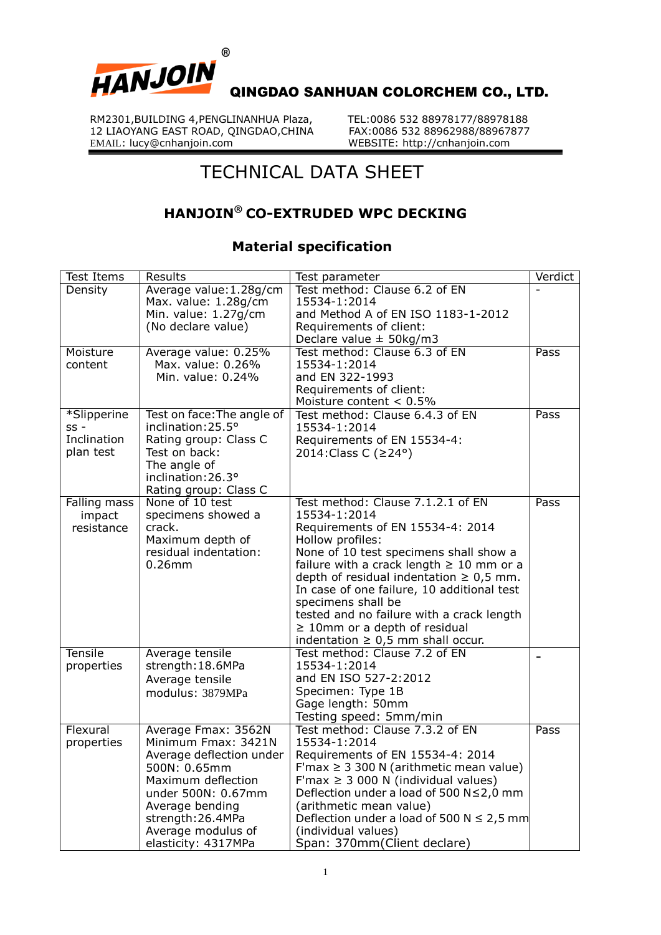

RM2301,BUILDING 4, PENGLINANHUA Plaza, TEL:0086 532 88978177/88978188<br>12 LIAOYANG EAST ROAD, OINGDAO,CHINA FAX:0086 532 88962988/88967877 12 LIAOYANG EAST ROAD, QINGDAO, CHINA EMAIL: lucy@cnhanjoin.com

WEBSITE: http://cnhanjoin.com

## TECHNICAL DATA SHEET

## **HANJOIN® CO-EXTRUDED WPC DECKING**

## **Material specification**

| <b>Test Items</b> | <b>Results</b>                           | Test parameter                                             | Verdict         |
|-------------------|------------------------------------------|------------------------------------------------------------|-----------------|
| Density           | Average value: 1.28g/cm                  | Test method: Clause 6.2 of EN                              |                 |
|                   | Max. value: 1.28g/cm                     | 15534-1:2014                                               |                 |
|                   | Min. value: 1.27g/cm                     | and Method A of EN ISO 1183-1-2012                         |                 |
|                   | (No declare value)                       | Requirements of client:                                    |                 |
|                   |                                          | Declare value $\pm$ 50kg/m3                                |                 |
| Moisture          | Average value: 0.25%                     | Test method: Clause 6.3 of EN                              | Pass            |
| content           | Max. value: 0.26%                        | 15534-1:2014                                               |                 |
|                   | Min. value: 0.24%                        | and EN 322-1993                                            |                 |
|                   |                                          | Requirements of client:                                    |                 |
|                   |                                          | Moisture content $< 0.5\%$                                 |                 |
| *Slipperine       | Test on face: The angle of               | Test method: Clause 6.4.3 of EN                            | Pass            |
| $SS -$            | inclination: 25.5°                       | 15534-1:2014                                               |                 |
| Inclination       | Rating group: Class C                    | Requirements of EN 15534-4:                                |                 |
| plan test         | Test on back:                            | 2014: Class C (≥24°)                                       |                 |
|                   | The angle of                             |                                                            |                 |
|                   | inclination: 26.3°                       |                                                            |                 |
|                   | Rating group: Class C<br>None of 10 test | Test method: Clause 7.1.2.1 of EN                          |                 |
| Falling mass      |                                          |                                                            | Pass            |
| impact            | specimens showed a                       | 15534-1:2014                                               |                 |
| resistance        | crack.<br>Maximum depth of               | Requirements of EN 15534-4: 2014                           |                 |
|                   | residual indentation:                    | Hollow profiles:<br>None of 10 test specimens shall show a |                 |
|                   | $0.26$ mm                                | failure with a crack length $\geq 10$ mm or a              |                 |
|                   |                                          | depth of residual indentation $\geq 0.5$ mm.               |                 |
|                   |                                          | In case of one failure, 10 additional test                 |                 |
|                   |                                          | specimens shall be                                         |                 |
|                   |                                          | tested and no failure with a crack length                  |                 |
|                   |                                          | $\geq$ 10mm or a depth of residual                         |                 |
|                   |                                          | indentation $\geq 0.5$ mm shall occur.                     |                 |
| <b>Tensile</b>    | Average tensile                          | Test method: Clause 7.2 of EN                              |                 |
| properties        | strength: 18.6MPa                        | 15534-1:2014                                               | $\qquad \qquad$ |
|                   | Average tensile                          | and EN ISO 527-2:2012                                      |                 |
|                   | modulus: 3879MPa                         | Specimen: Type 1B                                          |                 |
|                   |                                          | Gage length: 50mm                                          |                 |
|                   |                                          | Testing speed: 5mm/min                                     |                 |
| Flexural          | Average Fmax: 3562N                      | Test method: Clause 7.3.2 of EN                            | Pass            |
| properties        | Minimum Fmax: 3421N                      | 15534-1:2014                                               |                 |
|                   | Average deflection under                 | Requirements of EN 15534-4: 2014                           |                 |
|                   | 500N: 0.65mm                             | F'max $\geq 3300$ N (arithmetic mean value)                |                 |
|                   | Maximum deflection                       | F'max $\geq$ 3 000 N (individual values)                   |                 |
|                   | under 500N: 0.67mm                       | Deflection under a load of 500 N≤2,0 mm                    |                 |
|                   | Average bending                          | (arithmetic mean value)                                    |                 |
|                   | strength: 26.4MPa                        | Deflection under a load of 500 N $\leq$ 2,5 mm             |                 |
|                   | Average modulus of                       | (individual values)                                        |                 |
|                   | elasticity: 4317MPa                      | Span: 370mm(Client declare)                                |                 |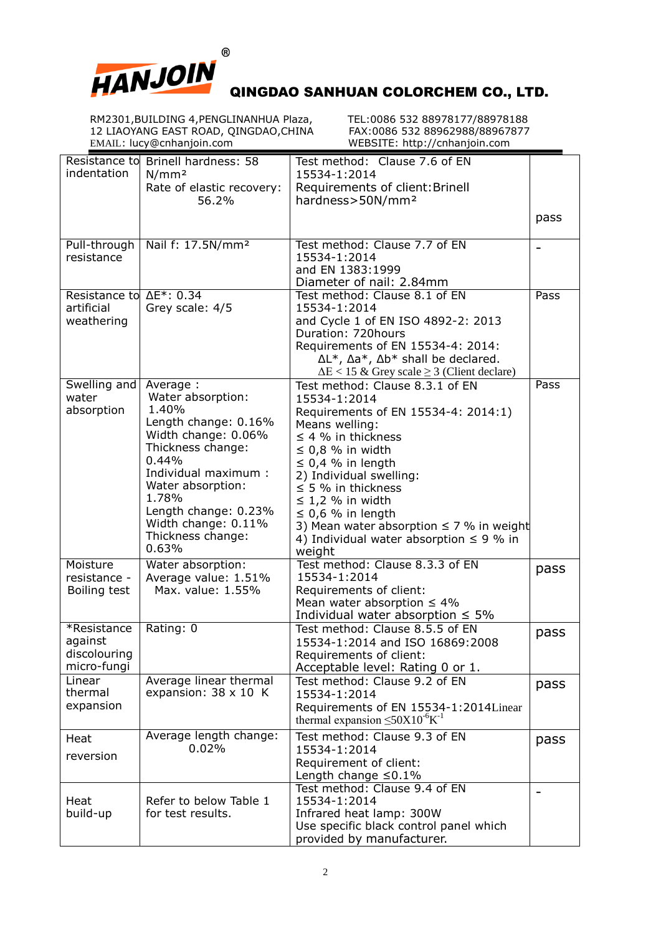

RM2301,BUILDING 4,PENGLINANHUA Plaza, TEL:0086 532 88978177/88978188 12 LIAOYANG EAST ROAD, QINGDAO,CHINA FAX:0086 532 88962988/88967877 EMAIL: lucy@cnhanjoin.com WEBSITE: http://cnhanjoin.com

|                         | Resistance to Brinell hardness: 58 | Test method: Clause 7.6 of EN                                 |      |
|-------------------------|------------------------------------|---------------------------------------------------------------|------|
| indentation             | N/mm <sup>2</sup>                  | 15534-1:2014                                                  |      |
|                         | Rate of elastic recovery:          | Requirements of client: Brinell                               |      |
|                         | 56.2%                              | hardness>50N/mm <sup>2</sup>                                  |      |
|                         |                                    |                                                               |      |
|                         |                                    |                                                               | pass |
|                         |                                    |                                                               |      |
| Pull-through            | Nail f: 17.5N/mm <sup>2</sup>      | Test method: Clause 7.7 of EN                                 |      |
| resistance              |                                    | 15534-1:2014                                                  |      |
|                         |                                    | and EN 1383:1999                                              |      |
|                         |                                    | Diameter of nail: 2.84mm                                      |      |
| Resistance to AE*: 0.34 |                                    | Test method: Clause 8.1 of EN                                 | Pass |
| artificial              | Grey scale: 4/5                    | 15534-1:2014                                                  |      |
| weathering              |                                    | and Cycle 1 of EN ISO 4892-2: 2013                            |      |
|                         |                                    | Duration: 720hours                                            |      |
|                         |                                    | Requirements of EN 15534-4: 2014:                             |      |
|                         |                                    | $\Delta L^*$ , $\Delta a^*$ , $\Delta b^*$ shall be declared. |      |
|                         |                                    | $\Delta E$ < 15 & Grey scale $\geq$ 3 (Client declare)        |      |
| Swelling and            | Average :                          | Test method: Clause 8.3.1 of EN                               | Pass |
| water                   | Water absorption:                  | 15534-1:2014                                                  |      |
| absorption              | 1.40%                              | Requirements of EN 15534-4: 2014:1)                           |      |
|                         | Length change: 0.16%               | Means welling:                                                |      |
|                         | Width change: 0.06%                | $\leq$ 4 % in thickness                                       |      |
|                         | Thickness change:                  |                                                               |      |
|                         | 0.44%                              | $\leq$ 0,8 % in width                                         |      |
|                         | Individual maximum:                | $\leq$ 0,4 % in length                                        |      |
|                         | Water absorption:                  | 2) Individual swelling:                                       |      |
|                         | 1.78%                              | $\leq$ 5 % in thickness                                       |      |
|                         |                                    | $\leq$ 1,2 % in width                                         |      |
|                         | Length change: 0.23%               | $\leq$ 0,6 % in length                                        |      |
|                         | Width change: 0.11%                | 3) Mean water absorption $\leq$ 7 % in weight                 |      |
|                         | Thickness change:                  | 4) Individual water absorption $\leq$ 9 % in                  |      |
|                         | 0.63%                              | weight                                                        |      |
| Moisture                | Water absorption:                  | Test method: Clause 8.3.3 of EN                               | pass |
| resistance -            | Average value: 1.51%               | 15534-1:2014                                                  |      |
| Boiling test            | Max. value: 1.55%                  | Requirements of client:                                       |      |
|                         |                                    | Mean water absorption $\leq 4\%$                              |      |
|                         |                                    | Individual water absorption $\leq 5\%$                        |      |
| *Resistance             | Rating: 0                          | Test method: Clause 8.5.5 of EN                               | pass |
| against                 |                                    | 15534-1:2014 and ISO 16869:2008                               |      |
| discolouring            |                                    | Requirements of client:                                       |      |
| micro-fungi             |                                    | Acceptable level: Rating 0 or 1.                              |      |
| Linear                  | Average linear thermal             | Test method: Clause 9.2 of EN                                 |      |
| thermal                 | expansion: $38 \times 10$ K        | 15534-1:2014                                                  | pass |
| expansion               |                                    | Requirements of EN 15534-1:2014Linear                         |      |
|                         |                                    | thermal expansion $\leq 50X10^{-6}K^{-1}$                     |      |
|                         |                                    |                                                               |      |
| Heat                    | Average length change:             | Test method: Clause 9.3 of EN                                 | pass |
| reversion               | 0.02%                              | 15534-1:2014                                                  |      |
|                         |                                    | Requirement of client:                                        |      |
|                         |                                    | Length change $\leq 0.1\%$                                    |      |
|                         |                                    | Test method: Clause 9.4 of EN                                 |      |
| Heat                    | Refer to below Table 1             | 15534-1:2014                                                  |      |
| build-up                | for test results.                  | Infrared heat lamp: 300W                                      |      |
|                         |                                    | Use specific black control panel which                        |      |
|                         |                                    | provided by manufacturer.                                     |      |